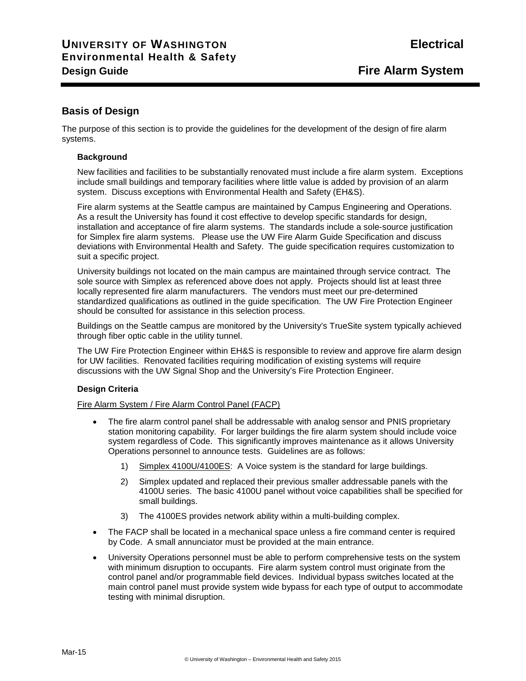# **Basis of Design**

The purpose of this section is to provide the guidelines for the development of the design of fire alarm systems.

#### **Background**

New facilities and facilities to be substantially renovated must include a fire alarm system. Exceptions include small buildings and temporary facilities where little value is added by provision of an alarm system. Discuss exceptions with Environmental Health and Safety (EH&S).

Fire alarm systems at the Seattle campus are maintained by Campus Engineering and Operations. As a result the University has found it cost effective to develop specific standards for design, installation and acceptance of fire alarm systems. The standards include a sole-source justification for Simplex fire alarm systems. Please use the UW Fire Alarm Guide Specification and discuss deviations with Environmental Health and Safety. The guide specification requires customization to suit a specific project.

University buildings not located on the main campus are maintained through service contract. The sole source with Simplex as referenced above does not apply. Projects should list at least three locally represented fire alarm manufacturers. The vendors must meet our pre-determined standardized qualifications as outlined in the guide specification. The UW Fire Protection Engineer should be consulted for assistance in this selection process.

Buildings on the Seattle campus are monitored by the University's TrueSite system typically achieved through fiber optic cable in the utility tunnel.

The UW Fire Protection Engineer within EH&S is responsible to review and approve fire alarm design for UW facilities. Renovated facilities requiring modification of existing systems will require discussions with the UW Signal Shop and the University's Fire Protection Engineer.

## **Design Criteria**

#### Fire Alarm System / Fire Alarm Control Panel (FACP)

- The fire alarm control panel shall be addressable with analog sensor and PNIS proprietary station monitoring capability. For larger buildings the fire alarm system should include voice system regardless of Code. This significantly improves maintenance as it allows University Operations personnel to announce tests. Guidelines are as follows:
	- 1) Simplex 4100U/4100ES: A Voice system is the standard for large buildings.
	- 2) Simplex updated and replaced their previous smaller addressable panels with the 4100U series. The basic 4100U panel without voice capabilities shall be specified for small buildings.
	- 3) The 4100ES provides network ability within a multi-building complex.
- The FACP shall be located in a mechanical space unless a fire command center is required by Code. A small annunciator must be provided at the main entrance.
- University Operations personnel must be able to perform comprehensive tests on the system with minimum disruption to occupants. Fire alarm system control must originate from the control panel and/or programmable field devices. Individual bypass switches located at the main control panel must provide system wide bypass for each type of output to accommodate testing with minimal disruption.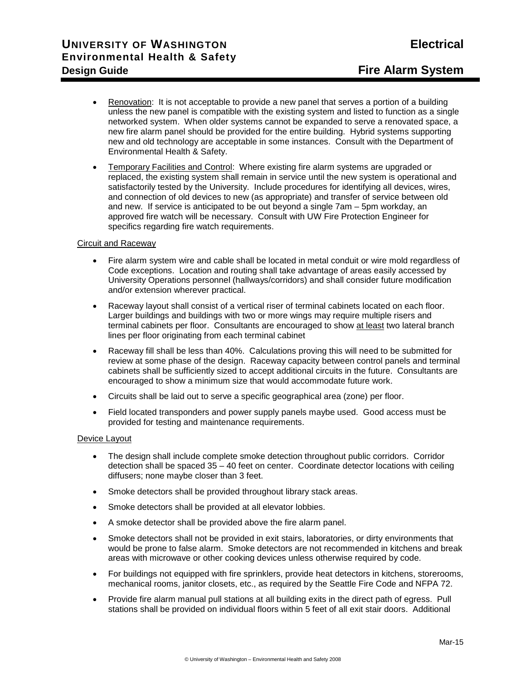- Renovation: It is not acceptable to provide a new panel that serves a portion of a building unless the new panel is compatible with the existing system and listed to function as a single networked system. When older systems cannot be expanded to serve a renovated space, a new fire alarm panel should be provided for the entire building. Hybrid systems supporting new and old technology are acceptable in some instances. Consult with the Department of Environmental Health & Safety.
- Temporary Facilities and Control: Where existing fire alarm systems are upgraded or replaced, the existing system shall remain in service until the new system is operational and satisfactorily tested by the University. Include procedures for identifying all devices, wires, and connection of old devices to new (as appropriate) and transfer of service between old and new. If service is anticipated to be out beyond a single 7am – 5pm workday, an approved fire watch will be necessary. Consult with UW Fire Protection Engineer for specifics regarding fire watch requirements.

#### Circuit and Raceway

- Fire alarm system wire and cable shall be located in metal conduit or wire mold regardless of Code exceptions. Location and routing shall take advantage of areas easily accessed by University Operations personnel (hallways/corridors) and shall consider future modification and/or extension wherever practical.
- Raceway layout shall consist of a vertical riser of terminal cabinets located on each floor. Larger buildings and buildings with two or more wings may require multiple risers and terminal cabinets per floor. Consultants are encouraged to show at least two lateral branch lines per floor originating from each terminal cabinet
- Raceway fill shall be less than 40%. Calculations proving this will need to be submitted for review at some phase of the design. Raceway capacity between control panels and terminal cabinets shall be sufficiently sized to accept additional circuits in the future. Consultants are encouraged to show a minimum size that would accommodate future work.
- Circuits shall be laid out to serve a specific geographical area (zone) per floor.
- Field located transponders and power supply panels maybe used. Good access must be provided for testing and maintenance requirements.

#### Device Layout

- The design shall include complete smoke detection throughout public corridors. Corridor detection shall be spaced 35 – 40 feet on center. Coordinate detector locations with ceiling diffusers; none maybe closer than 3 feet.
- Smoke detectors shall be provided throughout library stack areas.
- Smoke detectors shall be provided at all elevator lobbies.
- A smoke detector shall be provided above the fire alarm panel.
- Smoke detectors shall not be provided in exit stairs, laboratories, or dirty environments that would be prone to false alarm. Smoke detectors are not recommended in kitchens and break areas with microwave or other cooking devices unless otherwise required by code.
- For buildings not equipped with fire sprinklers, provide heat detectors in kitchens, storerooms, mechanical rooms, janitor closets, etc., as required by the Seattle Fire Code and NFPA 72.
- Provide fire alarm manual pull stations at all building exits in the direct path of egress. Pull stations shall be provided on individual floors within 5 feet of all exit stair doors. Additional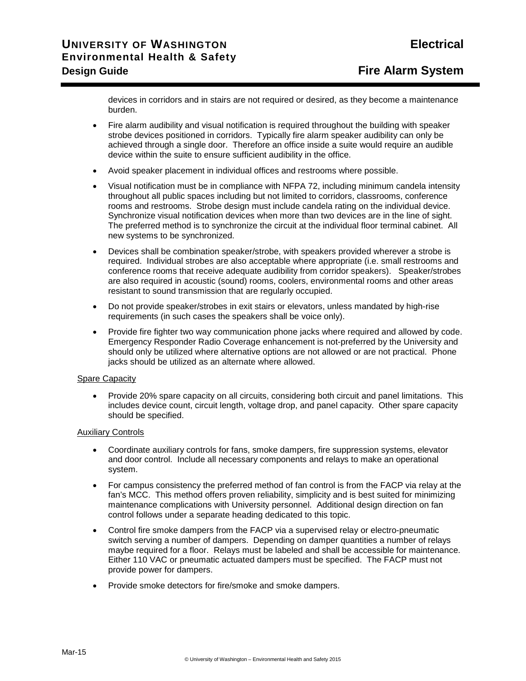devices in corridors and in stairs are not required or desired, as they become a maintenance burden.

- Fire alarm audibility and visual notification is required throughout the building with speaker strobe devices positioned in corridors. Typically fire alarm speaker audibility can only be achieved through a single door. Therefore an office inside a suite would require an audible device within the suite to ensure sufficient audibility in the office.
- Avoid speaker placement in individual offices and restrooms where possible.
- Visual notification must be in compliance with NFPA 72, including minimum candela intensity throughout all public spaces including but not limited to corridors, classrooms, conference rooms and restrooms. Strobe design must include candela rating on the individual device. Synchronize visual notification devices when more than two devices are in the line of sight. The preferred method is to synchronize the circuit at the individual floor terminal cabinet. All new systems to be synchronized.
- Devices shall be combination speaker/strobe, with speakers provided wherever a strobe is required. Individual strobes are also acceptable where appropriate (i.e. small restrooms and conference rooms that receive adequate audibility from corridor speakers). Speaker/strobes are also required in acoustic (sound) rooms, coolers, environmental rooms and other areas resistant to sound transmission that are regularly occupied.
- Do not provide speaker/strobes in exit stairs or elevators, unless mandated by high-rise requirements (in such cases the speakers shall be voice only).
- Provide fire fighter two way communication phone jacks where required and allowed by code. Emergency Responder Radio Coverage enhancement is not-preferred by the University and should only be utilized where alternative options are not allowed or are not practical. Phone jacks should be utilized as an alternate where allowed.

#### Spare Capacity

• Provide 20% spare capacity on all circuits, considering both circuit and panel limitations. This includes device count, circuit length, voltage drop, and panel capacity. Other spare capacity should be specified.

#### Auxiliary Controls

- Coordinate auxiliary controls for fans, smoke dampers, fire suppression systems, elevator and door control. Include all necessary components and relays to make an operational system.
- For campus consistency the preferred method of fan control is from the FACP via relay at the fan's MCC. This method offers proven reliability, simplicity and is best suited for minimizing maintenance complications with University personnel. Additional design direction on fan control follows under a separate heading dedicated to this topic.
- Control fire smoke dampers from the FACP via a supervised relay or electro-pneumatic switch serving a number of dampers. Depending on damper quantities a number of relays maybe required for a floor. Relays must be labeled and shall be accessible for maintenance. Either 110 VAC or pneumatic actuated dampers must be specified. The FACP must not provide power for dampers.
- Provide smoke detectors for fire/smoke and smoke dampers.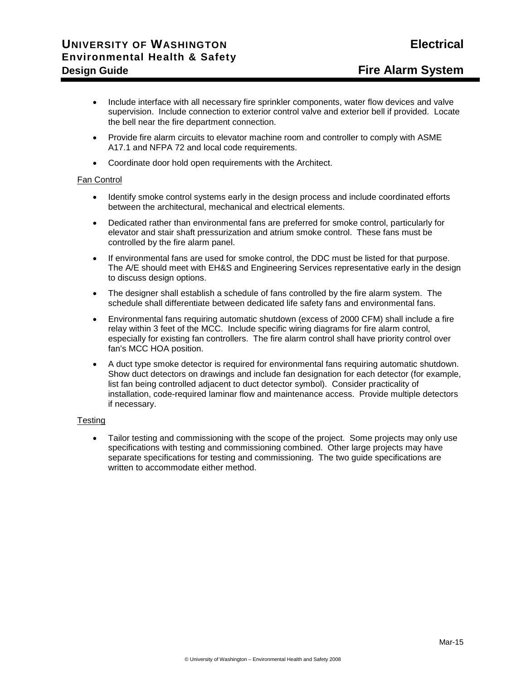- Include interface with all necessary fire sprinkler components, water flow devices and valve supervision. Include connection to exterior control valve and exterior bell if provided. Locate the bell near the fire department connection.
- Provide fire alarm circuits to elevator machine room and controller to comply with ASME A17.1 and NFPA 72 and local code requirements.
- Coordinate door hold open requirements with the Architect.

### Fan Control

- Identify smoke control systems early in the design process and include coordinated efforts between the architectural, mechanical and electrical elements.
- Dedicated rather than environmental fans are preferred for smoke control, particularly for elevator and stair shaft pressurization and atrium smoke control. These fans must be controlled by the fire alarm panel.
- If environmental fans are used for smoke control, the DDC must be listed for that purpose. The A/E should meet with EH&S and Engineering Services representative early in the design to discuss design options.
- The designer shall establish a schedule of fans controlled by the fire alarm system. The schedule shall differentiate between dedicated life safety fans and environmental fans.
- Environmental fans requiring automatic shutdown (excess of 2000 CFM) shall include a fire relay within 3 feet of the MCC. Include specific wiring diagrams for fire alarm control, especially for existing fan controllers. The fire alarm control shall have priority control over fan's MCC HOA position.
- A duct type smoke detector is required for environmental fans requiring automatic shutdown. Show duct detectors on drawings and include fan designation for each detector (for example, list fan being controlled adjacent to duct detector symbol). Consider practicality of installation, code-required laminar flow and maintenance access. Provide multiple detectors if necessary.

#### **Testing**

• Tailor testing and commissioning with the scope of the project. Some projects may only use specifications with testing and commissioning combined. Other large projects may have separate specifications for testing and commissioning. The two guide specifications are written to accommodate either method.